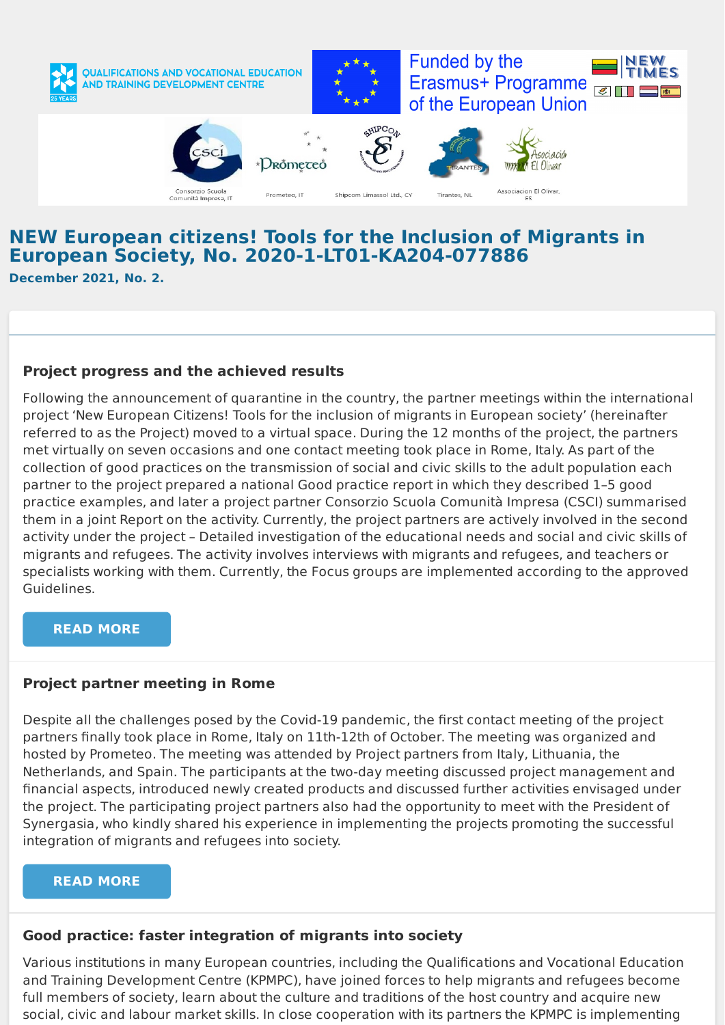

# **NEW European citizens! Tools for the Inclusion of Migrants in European Society, No. 2020-1-LT01-KA204-077886**

**December 2021, No. 2.**

## **Project progress and the achieved results**

Following the announcement of quarantine in the country, the partner meetings within the international project 'New European Citizens! Tools for the inclusion of migrants in European society' (hereinafter referred to as the Project) moved to a virtual space. During the 12 months of the project, the partners met virtually on seven occasions and one contact meeting took place in Rome, Italy. As part of the collection of good practices on the transmission of social and civic skills to the adult population each partner to the project prepared a national Good practice report in which they described 1–5 good practice examples, and later a project partner Consorzio Scuola Comunità Impresa (CSCI) summarised them in a joint Report on the activity. Currently, the project partners are actively involved in the second activity under the project – Detailed investigation of the educational needs and social and civic skills of migrants and refugees. The activity involves interviews with migrants and refugees, and teachers or specialists working with them. Currently, the Focus groups are implemented according to the approved Guidelines.

#### **READ [MORE](https://www.kpmpc.lt/kpmpc/new-european-citizens-tools-for-the-inclusion-of-migrants-in-european-society-no-2020-1-lt01-ka204-077886/)**

### **Project partner meeting in Rome**

Despite all the challenges posed by the Covid-19 pandemic, the first contact meeting of the project partners finally took place in Rome, Italy on 11th-12th of October. The meeting was organized and hosted by Prometeo. The meeting was attended by Project partners from Italy, Lithuania, the Netherlands, and Spain. The participants at the two-day meeting discussed project management and financial aspects, introduced newly created products and discussed further activities envisaged under the project. The participating project partners also had the opportunity to meet with the President of Synergasia, who kindly shared his experience in implementing the projects promoting the successful integration of migrants and refugees into society.

### **READ [MORE](https://www.facebook.com/photo/?fbid=2865885690319926&set=pcb.2865886243653204)**

### **Good practice: faster integration of migrants into society**

Various institutions in many European countries, including the Qualifications and Vocational Education and Training Development Centre (KPMPC), have joined forces to help migrants and refugees become full members of society, learn about the culture and traditions of the host country and acquire new social, civic and labour market skills. In close cooperation with its partners the KPMPC is implementing